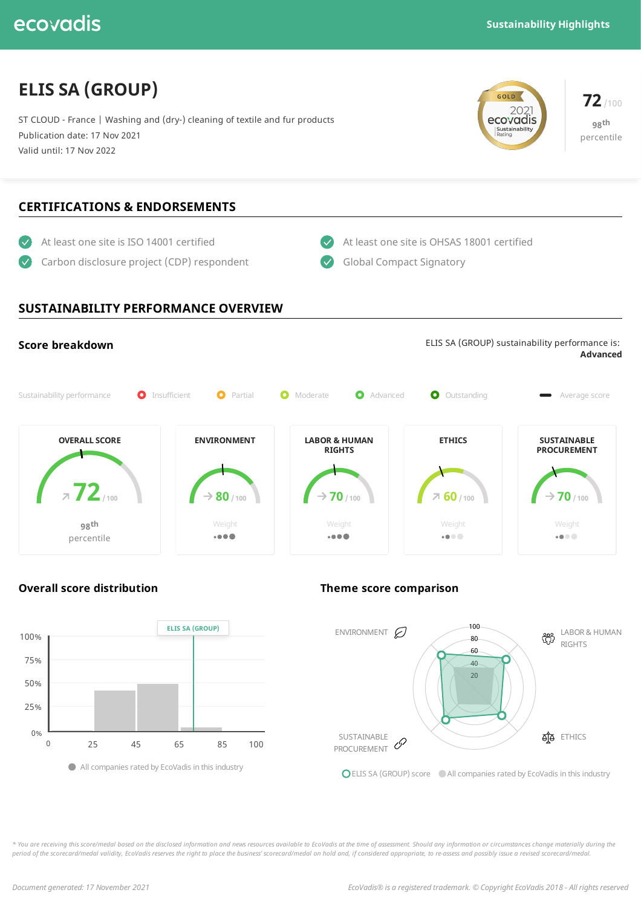# ecovadis







**OELIS SA (GROUP) score** All companies rated by EcoVadis in this industry

\* You are receiving this score/medal based on the disclosed information and news resources available to EcoVadis at the time of assessment. Should any information or circumstances change materially during the period of the scorecard/medal validity, EcoVadis reserves the right to place the business' scorecard/medal on hold and, if considered appropriate, to re-assess and possibly issue a revised scorecard/medal.